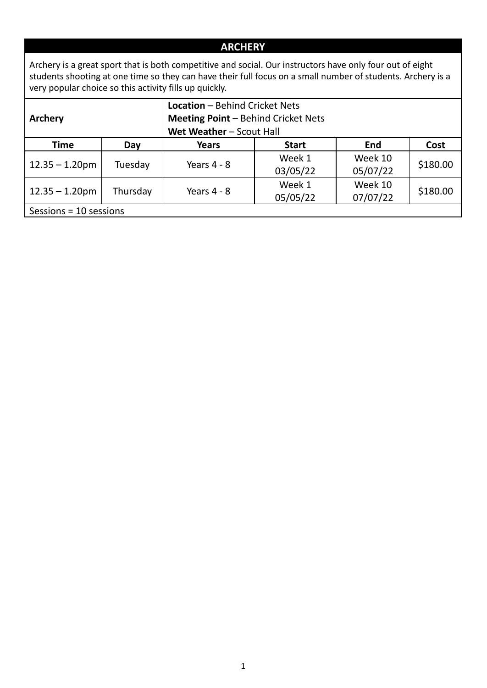## **ARCHERY**

Archery is a great sport that is both competitive and social. Our instructors have only four out of eight students shooting at one time so they can have their full focus on a small number of students. Archery is a very popular choice so this activity fills up quickly.

|                        |          | <b>Location - Behind Cricket Nets</b> |                                            |          |          |  |  |  |  |
|------------------------|----------|---------------------------------------|--------------------------------------------|----------|----------|--|--|--|--|
| Archery                |          |                                       | <b>Meeting Point - Behind Cricket Nets</b> |          |          |  |  |  |  |
|                        |          | Wet Weather - Scout Hall              |                                            |          |          |  |  |  |  |
| <b>Time</b>            | Day      | Years                                 | <b>End</b><br>Cost<br><b>Start</b>         |          |          |  |  |  |  |
|                        |          | Years $4 - 8$                         | Week 1                                     | Week 10  |          |  |  |  |  |
| $12.35 - 1.20$ pm      | Tuesday  |                                       | 03/05/22                                   | 05/07/22 | \$180.00 |  |  |  |  |
|                        |          | Years $4 - 8$                         | Week 1                                     | Week 10  | \$180.00 |  |  |  |  |
| $12.35 - 1.20$ pm      | Thursday |                                       | 05/05/22                                   | 07/07/22 |          |  |  |  |  |
| Sessions = 10 sessions |          |                                       |                                            |          |          |  |  |  |  |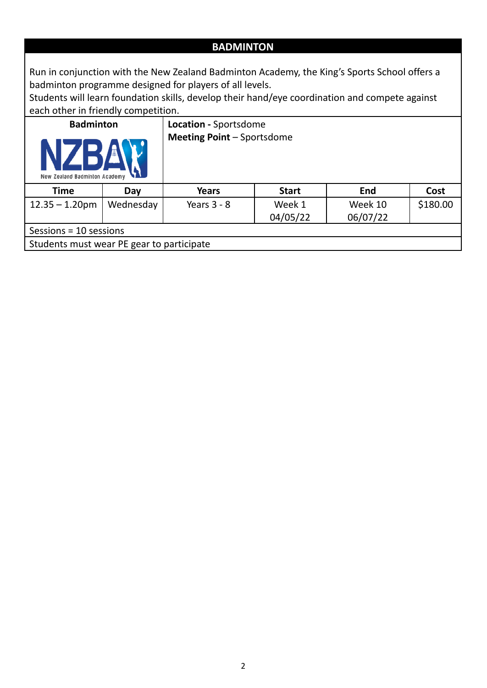## **BADMINTON**

Run in conjunction with the New Zealand Badminton Academy, the King's Sports School offers a badminton programme designed for players of all levels.

Students will learn foundation skills, develop their hand/eye coordination and compete against each other in friendly competition.

| <b>Badminton</b>                          |           | Location - Sportsdome             |              |          |          |  |  |  |
|-------------------------------------------|-----------|-----------------------------------|--------------|----------|----------|--|--|--|
| New Zealand Badminton Academy             |           | <b>Meeting Point - Sportsdome</b> |              |          |          |  |  |  |
| Time                                      | Day       | <b>Years</b>                      | <b>Start</b> | End      | Cost     |  |  |  |
| $12.35 - 1.20$ pm                         | Wednesday | Years $3 - 8$                     | Week 1       | Week 10  | \$180.00 |  |  |  |
|                                           |           |                                   | 04/05/22     | 06/07/22 |          |  |  |  |
| Sessions = $10$ sessions                  |           |                                   |              |          |          |  |  |  |
| Students must wear PE gear to participate |           |                                   |              |          |          |  |  |  |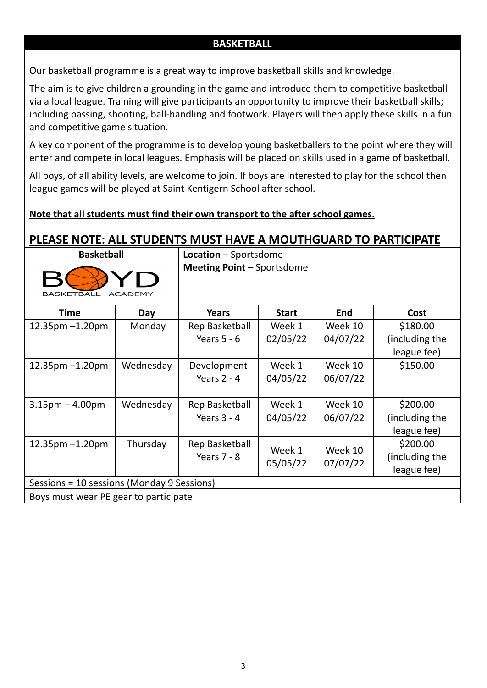#### **BASKETBALL**

Our basketball programme is a great way to improve basketball skills and knowledge.

The aim is to give children a grounding in the game and introduce them to competitive basketball via a local league. Training will give participants an opportunity to improve their basketball skills; including passing, shooting, ball-handling and footwork. Players will then apply these skills in a fun and competitive game situation.

A key component of the programme is to develop young basketballers to the point where they will enter and compete in local leagues. Emphasis will be placed on skills used in a game of basketball.

All boys, of all ability levels, are welcome to join. If boys are interested to play for the school then league games will be played at Saint Kentigern School after school.

#### **Note that all students must find their own transport to the after school games.**

# **PLEASE NOTE: ALL STUDENTS MUST HAVE A MOUTHGUARD TO PARTICIPATE**



**Basketball Location** – Sportsdome **Meeting Point** – Sportsdome

| <b>Time</b>                                | Day       | Years          | <b>Start</b> | <b>End</b> | Cost           |
|--------------------------------------------|-----------|----------------|--------------|------------|----------------|
| $12.35$ pm $-1.20$ pm                      | Monday    | Rep Basketball | Week 1       | Week 10    | \$180.00       |
|                                            |           | Years $5 - 6$  | 02/05/22     | 04/07/22   | (including the |
|                                            |           |                |              |            | league fee)    |
| $12.35$ pm $-1.20$ pm                      | Wednesday | Development    | Week 1       | Week 10    | \$150.00       |
|                                            |           | Years $2 - 4$  | 04/05/22     | 06/07/22   |                |
|                                            |           |                |              |            |                |
| $3.15$ pm $- 4.00$ pm                      | Wednesday | Rep Basketball | Week 1       | Week 10    | \$200.00       |
|                                            |           | Years $3 - 4$  | 04/05/22     | 06/07/22   | (including the |
|                                            |           |                |              |            | league fee)    |
| $12.35$ pm $-1.20$ pm                      | Thursday  | Rep Basketball | Week 1       | Week 10    | \$200.00       |
|                                            |           | Years $7 - 8$  | 05/05/22     | 07/07/22   | (including the |
|                                            |           |                |              |            | league fee)    |
| Sessions = 10 sessions (Monday 9 Sessions) |           |                |              |            |                |
| Boys must wear PE gear to participate      |           |                |              |            |                |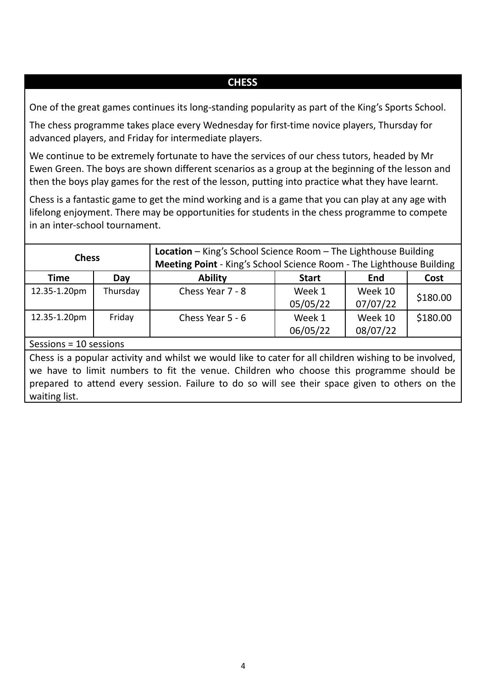#### **CHESS**

One of the great games continues its long-standing popularity as part of the King's Sports School.

The chess programme takes place every Wednesday for first-time novice players, Thursday for advanced players, and Friday for intermediate players.

We continue to be extremely fortunate to have the services of our chess tutors, headed by Mr Ewen Green. The boys are shown different scenarios as a group at the beginning of the lesson and then the boys play games for the rest of the lesson, putting into practice what they have learnt.

Chess is a fantastic game to get the mind working and is a game that you can play at any age with lifelong enjoyment. There may be opportunities for students in the chess programme to compete in an inter-school tournament.

| <b>Chess</b>             |          | Location - King's School Science Room - The Lighthouse Building<br>Meeting Point - King's School Science Room - The Lighthouse Building |                    |                     |          |
|--------------------------|----------|-----------------------------------------------------------------------------------------------------------------------------------------|--------------------|---------------------|----------|
| <b>Time</b>              | Day      | <b>Ability</b>                                                                                                                          | <b>Start</b>       | End                 | Cost     |
| 12.35-1.20pm             | Thursday | Chess Year 7 - 8                                                                                                                        | Week 1<br>05/05/22 | Week 10<br>07/07/22 | \$180.00 |
| 12.35-1.20pm             | Friday   | Chess Year $5 - 6$                                                                                                                      | Week 1<br>06/05/22 | Week 10<br>08/07/22 | \$180.00 |
| Sessions = $10$ sessions |          |                                                                                                                                         |                    |                     |          |

Chess is a popular activity and whilst we would like to cater for all children wishing to be involved, we have to limit numbers to fit the venue. Children who choose this programme should be prepared to attend every session. Failure to do so will see their space given to others on the waiting list.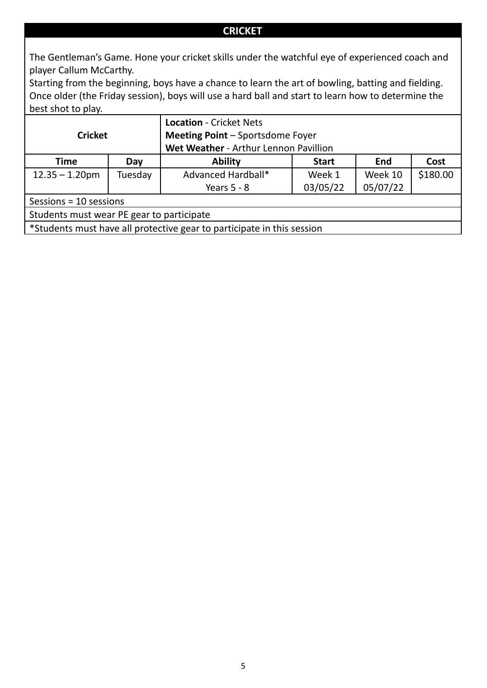#### **CRICKET**

The Gentleman's Game. Hone your cricket skills under the watchful eye of experienced coach and player Callum McCarthy.

Starting from the beginning, boys have a chance to learn the art of bowling, batting and fielding. Once older (the Friday session), boys will use a hard ball and start to learn how to determine the best shot to play.

|                                           |         | <b>Location - Cricket Nets</b>                                         |          |          |          |  |  |  |
|-------------------------------------------|---------|------------------------------------------------------------------------|----------|----------|----------|--|--|--|
| <b>Cricket</b>                            |         | <b>Meeting Point - Sportsdome Foyer</b>                                |          |          |          |  |  |  |
|                                           |         | Wet Weather - Arthur Lennon Pavillion                                  |          |          |          |  |  |  |
| <b>Time</b>                               | Day     | <b>Ability</b><br><b>End</b><br>Cost<br><b>Start</b>                   |          |          |          |  |  |  |
| $12.35 - 1.20$ pm                         | Tuesday | Advanced Hardball*                                                     | Week 1   | Week 10  | \$180.00 |  |  |  |
|                                           |         | Years $5 - 8$                                                          | 03/05/22 | 05/07/22 |          |  |  |  |
| Sessions = $10$ sessions                  |         |                                                                        |          |          |          |  |  |  |
| Students must wear PE gear to participate |         |                                                                        |          |          |          |  |  |  |
|                                           |         | *Students must have all protective gear to participate in this session |          |          |          |  |  |  |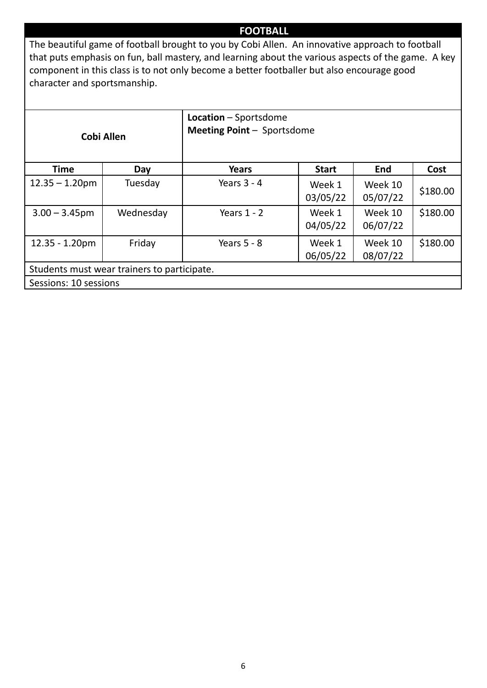#### **FOOTBALL**

The beautiful game of football brought to you by Cobi Allen. An innovative approach to football that puts emphasis on fun, ball mastery, and learning about the various aspects of the game. A key component in this class is to not only become a better footballer but also encourage good character and sportsmanship.

|                       | <b>Cobi Allen</b>                           | <b>Location</b> – Sportsdome<br><b>Meeting Point - Sportsdome</b> |                    |                     |          |
|-----------------------|---------------------------------------------|-------------------------------------------------------------------|--------------------|---------------------|----------|
| <b>Time</b>           | Day                                         | Years                                                             | <b>Start</b>       | <b>End</b>          | Cost     |
| $12.35 - 1.20$ pm     | Tuesday                                     | Years $3 - 4$                                                     | Week 1<br>03/05/22 | Week 10<br>05/07/22 | \$180.00 |
| $3.00 - 3.45$ pm      | Wednesday                                   | Years $1 - 2$                                                     | Week 1<br>04/05/22 | Week 10<br>06/07/22 | \$180.00 |
| $12.35 - 1.20pm$      | Friday                                      | Years $5 - 8$                                                     | Week 1<br>06/05/22 | Week 10<br>08/07/22 | \$180.00 |
|                       | Students must wear trainers to participate. |                                                                   |                    |                     |          |
| Sessions: 10 sessions |                                             |                                                                   |                    |                     |          |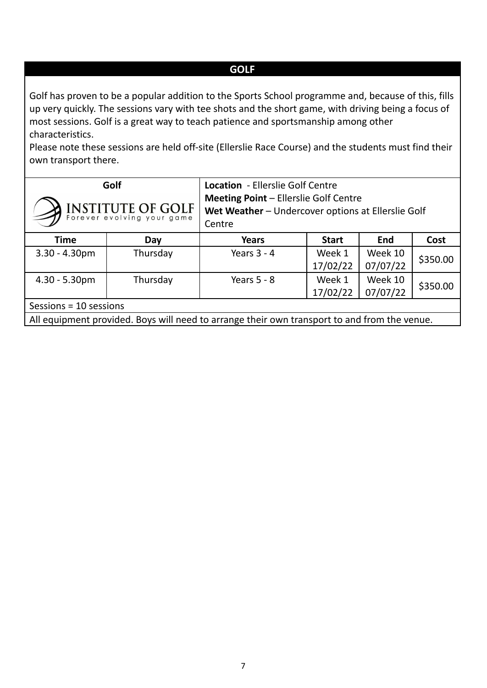#### **GOLF**

Golf has proven to be a popular addition to the Sports School programme and, because of this, fills up very quickly. The sessions vary with tee shots and the short game, with driving being a focus of most sessions. Golf is a great way to teach patience and sportsmanship among other characteristics.

Please note these sessions are held off-site (Ellerslie Race Course) and the students must find their own transport there.

|                          | Golf<br>INSTITUTE OF GOLF | Location - Ellerslie Golf Centre<br><b>Meeting Point - Ellerslie Golf Centre</b><br>Wet Weather - Undercover options at Ellerslie Golf<br>Centre |                    |                     |          |
|--------------------------|---------------------------|--------------------------------------------------------------------------------------------------------------------------------------------------|--------------------|---------------------|----------|
| <b>Time</b>              | Day                       | <b>Years</b>                                                                                                                                     | End                | Cost                |          |
| $3.30 - 4.30$ pm         | Thursday                  | Years $3 - 4$                                                                                                                                    | Week 1<br>17/02/22 | Week 10<br>07/07/22 | \$350.00 |
| $4.30 - 5.30$ pm         | Thursday                  | Years $5 - 8$                                                                                                                                    | Week 1<br>17/02/22 | Week 10<br>07/07/22 | \$350.00 |
| Sessions = $10$ sessions |                           |                                                                                                                                                  |                    |                     |          |
|                          |                           | All equipment provided. Boys will need to arrange their own transport to and from the venue.                                                     |                    |                     |          |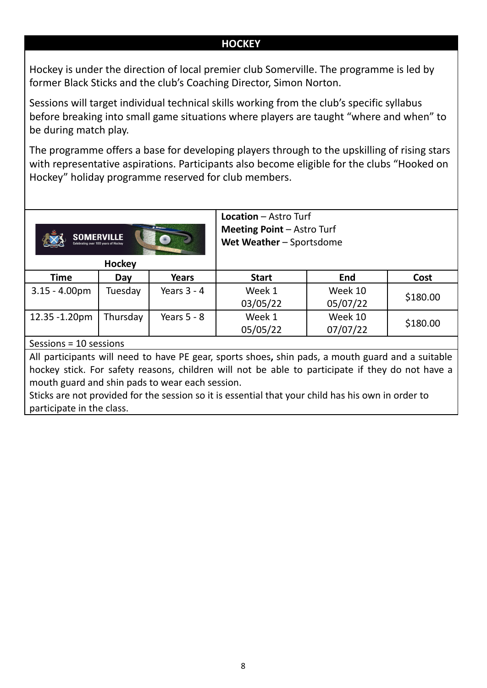#### **HOCKEY**

Hockey is under the direction of local premier club Somerville. The programme is led by former Black Sticks and the club's Coaching Director, Simon Norton.

Sessions will target individual technical skills working from the club's specific syllabus before breaking into small game situations where players are taught "where and when" to be during match play.

The programme offers a base for developing players through to the upskilling of rising stars with representative aspirations. Participants also become eligible for the clubs "Hooked on Hockey" holiday programme reserved for club members.



**Hockey**

12.35 -1.20pm | Thursday | Years 5 - 8 | Week 1

**Location** – Astro Turf **Meeting Point** – Astro Turf

03/05/22

05/05/22

**Wet Weather** – Sportsdome

Week 10 05/07/22

Week 10 07/07/22 \$180.00

\$180.00

| Time             | <b>Day</b> | Years         | Start | End     | Cost   |
|------------------|------------|---------------|-------|---------|--------|
| $3.15 - 4.00$ pm | Tuesday    | Years $3 - 4$ | Week  | Week 10 | cann c |

Sessions = 10 sessions

All participants will need to have PE gear, sports shoes**,** shin pads, a mouth guard and a suitable hockey stick. For safety reasons, children will not be able to participate if they do not have a mouth guard and shin pads to wear each session.

Sticks are not provided for the session so it is essential that your child has his own in order to participate in the class.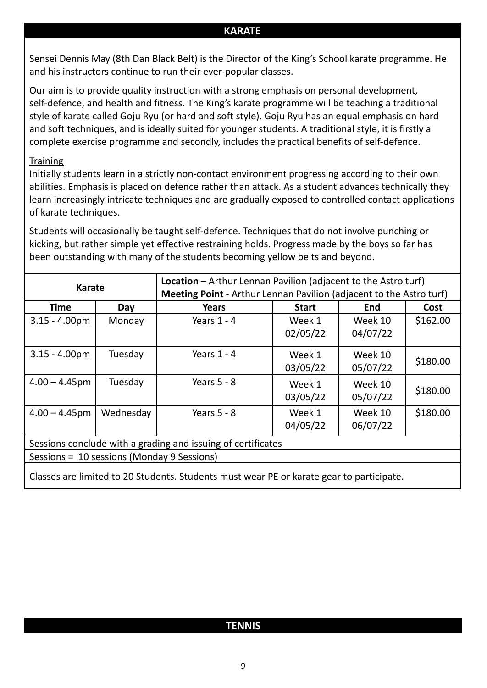#### **KARATE**

Sensei Dennis May (8th Dan Black Belt) is the Director of the King's School karate programme. He and his instructors continue to run their ever-popular classes.

Our aim is to provide quality instruction with a strong emphasis on personal development, self-defence, and health and fitness. The King's karate programme will be teaching a traditional style of karate called Goju Ryu (or hard and soft style). Goju Ryu has an equal emphasis on hard and soft techniques, and is ideally suited for younger students. A traditional style, it is firstly a complete exercise programme and secondly, includes the practical benefits of self-defence.

#### **Training**

Initially students learn in a strictly non-contact environment progressing according to their own abilities. Emphasis is placed on defence rather than attack. As a student advances technically they learn increasingly intricate techniques and are gradually exposed to controlled contact applications of karate techniques.

Students will occasionally be taught self-defence. Techniques that do not involve punching or kicking, but rather simple yet effective restraining holds. Progress made by the boys so far has been outstanding with many of the students becoming yellow belts and beyond.

| <b>Karate</b>                              |                                                              |                                                                                          | <b>Location</b> – Arthur Lennan Pavilion (adjacent to the Astro turf) |            |          |  |  |  |  |
|--------------------------------------------|--------------------------------------------------------------|------------------------------------------------------------------------------------------|-----------------------------------------------------------------------|------------|----------|--|--|--|--|
|                                            |                                                              | <b>Meeting Point</b> - Arthur Lennan Pavilion (adjacent to the Astro turf)               |                                                                       |            |          |  |  |  |  |
| <b>Time</b>                                | Day                                                          | <b>Years</b>                                                                             | <b>Start</b>                                                          | <b>End</b> | Cost     |  |  |  |  |
| $3.15 - 4.00$ pm                           | Monday                                                       | Years $1 - 4$                                                                            | Week 1                                                                | Week 10    | \$162.00 |  |  |  |  |
|                                            |                                                              |                                                                                          | 02/05/22                                                              | 04/07/22   |          |  |  |  |  |
| $3.15 - 4.00$ pm                           | Tuesday                                                      | Years $1 - 4$                                                                            | Week 1                                                                | Week 10    |          |  |  |  |  |
|                                            |                                                              |                                                                                          | 03/05/22                                                              | 05/07/22   | \$180.00 |  |  |  |  |
| $4.00 - 4.45$ pm                           | Tuesday                                                      | Years $5 - 8$                                                                            | Week 1                                                                | Week 10    |          |  |  |  |  |
|                                            |                                                              |                                                                                          | 03/05/22                                                              | 05/07/22   | \$180.00 |  |  |  |  |
| $4.00 - 4.45$ pm                           | Wednesday                                                    | Years $5 - 8$                                                                            | Week 1                                                                | Week 10    | \$180.00 |  |  |  |  |
|                                            |                                                              |                                                                                          | 04/05/22                                                              | 06/07/22   |          |  |  |  |  |
|                                            | Sessions conclude with a grading and issuing of certificates |                                                                                          |                                                                       |            |          |  |  |  |  |
| Sessions = 10 sessions (Monday 9 Sessions) |                                                              |                                                                                          |                                                                       |            |          |  |  |  |  |
|                                            |                                                              | Classes are limited to 20 Students. Students must wear PE or karate gear to participate. |                                                                       |            |          |  |  |  |  |

### **TENNIS**